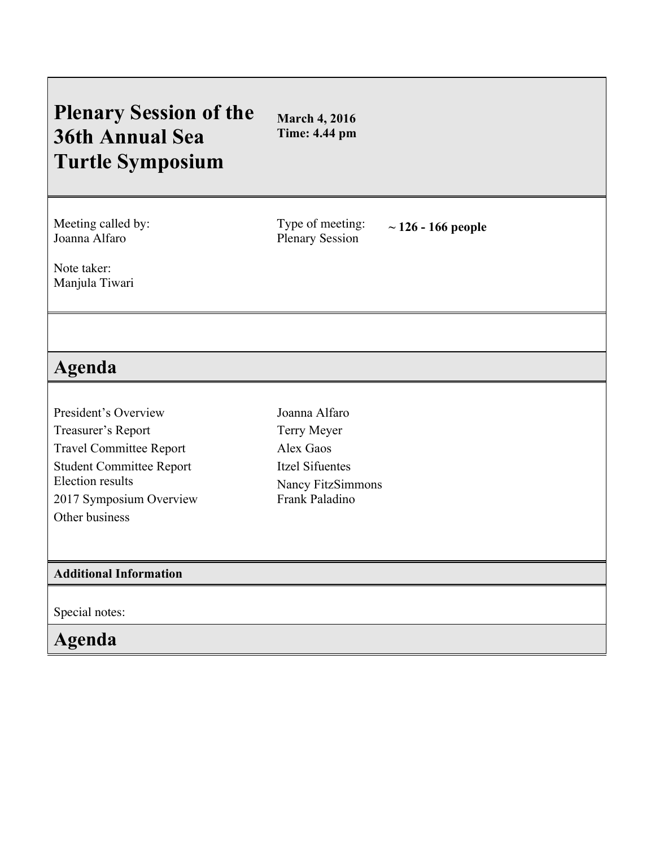## **Plenary Session of the 36th Annual Sea Turtle Symposium**

**March 4, 2016 Time: 4.44 pm**

Meeting called by: Joanna Alfaro

Type of meeting: Type of meeting:  $\sim 126 - 166$  people<br>Plenary Session

Note taker: Manjula Tiwari

## **Agenda**

- President's Overview Treasurer's Report Travel Committee Report Student Committee Report Election results 2017 Symposium Overview Other business
- Joanna Alfaro Terry Meyer Alex Gaos Itzel Sifuentes Nancy FitzSimmons Frank Paladino

## **Additional Information**

Special notes:

**Agenda**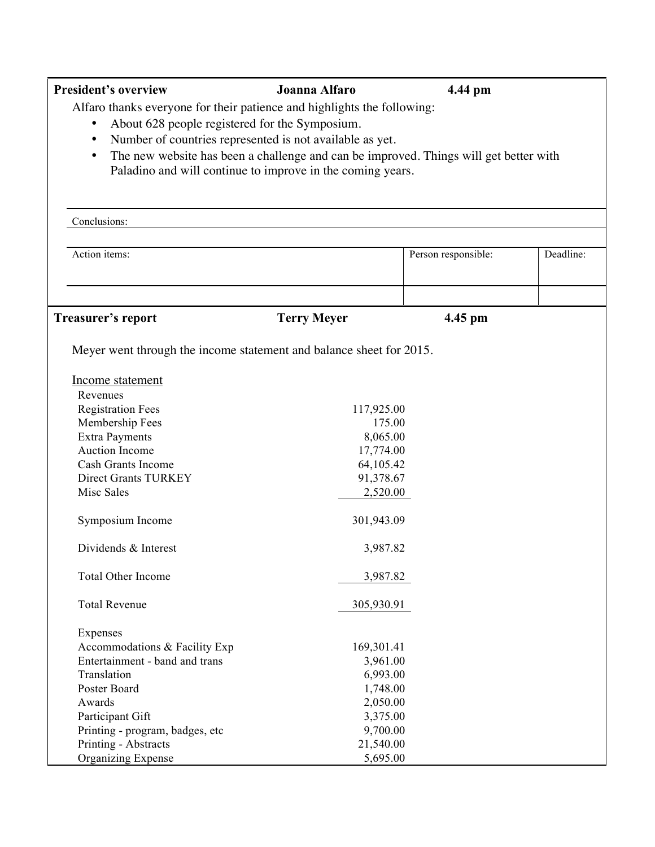| <b>President's overview</b>                                                                                                                                                                                                                                                                                                                                            | Joanna Alfaro                                                                                     | 4.44 pm             |           |  |
|------------------------------------------------------------------------------------------------------------------------------------------------------------------------------------------------------------------------------------------------------------------------------------------------------------------------------------------------------------------------|---------------------------------------------------------------------------------------------------|---------------------|-----------|--|
| Alfaro thanks everyone for their patience and highlights the following:<br>About 628 people registered for the Symposium.<br>Number of countries represented is not available as yet.<br>$\bullet$<br>The new website has been a challenge and can be improved. Things will get better with<br>$\bullet$<br>Paladino and will continue to improve in the coming years. |                                                                                                   |                     |           |  |
| Conclusions:                                                                                                                                                                                                                                                                                                                                                           |                                                                                                   |                     |           |  |
| Action items:                                                                                                                                                                                                                                                                                                                                                          |                                                                                                   | Person responsible: | Deadline: |  |
|                                                                                                                                                                                                                                                                                                                                                                        |                                                                                                   |                     |           |  |
| <b>Treasurer's report</b>                                                                                                                                                                                                                                                                                                                                              | <b>Terry Meyer</b>                                                                                | 4.45 pm             |           |  |
| Meyer went through the income statement and balance sheet for 2015.<br>Income statement<br>Revenues<br><b>Registration Fees</b><br>Membership Fees<br><b>Extra Payments</b><br>Auction Income<br>Cash Grants Income<br>Direct Grants TURKEY<br>Misc Sales<br>Symposium Income                                                                                          | 117,925.00<br>175.00<br>8,065.00<br>17,774.00<br>64,105.42<br>91,378.67<br>2,520.00<br>301,943.09 |                     |           |  |
| Dividends & Interest                                                                                                                                                                                                                                                                                                                                                   | 3,987.82                                                                                          |                     |           |  |
| <b>Total Other Income</b>                                                                                                                                                                                                                                                                                                                                              | 3,987.82                                                                                          |                     |           |  |
| <b>Total Revenue</b>                                                                                                                                                                                                                                                                                                                                                   | 305,930.91                                                                                        |                     |           |  |
| Expenses<br>Accommodations & Facility Exp<br>Entertainment - band and trans<br>Translation<br>Poster Board<br>Awards<br>Participant Gift                                                                                                                                                                                                                               | 169,301.41<br>3,961.00<br>6,993.00<br>1,748.00<br>2,050.00<br>3,375.00                            |                     |           |  |
| Printing - program, badges, etc<br>Printing - Abstracts<br><b>Organizing Expense</b>                                                                                                                                                                                                                                                                                   | 9,700.00<br>21,540.00<br>5,695.00                                                                 |                     |           |  |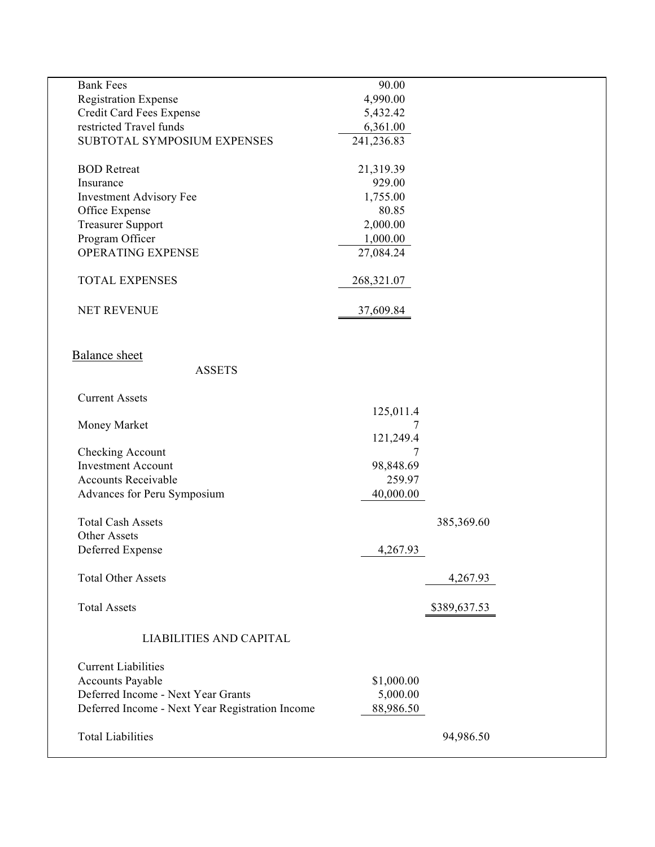| <b>Bank Fees</b>                                | 90.00      |              |  |
|-------------------------------------------------|------------|--------------|--|
| <b>Registration Expense</b>                     | 4,990.00   |              |  |
| Credit Card Fees Expense                        | 5,432.42   |              |  |
| restricted Travel funds                         | 6,361.00   |              |  |
| SUBTOTAL SYMPOSIUM EXPENSES                     | 241,236.83 |              |  |
|                                                 |            |              |  |
| <b>BOD</b> Retreat                              | 21,319.39  |              |  |
| Insurance                                       | 929.00     |              |  |
| <b>Investment Advisory Fee</b>                  | 1,755.00   |              |  |
| Office Expense                                  | 80.85      |              |  |
| <b>Treasurer Support</b>                        | 2,000.00   |              |  |
| Program Officer                                 | 1,000.00   |              |  |
| <b>OPERATING EXPENSE</b>                        | 27,084.24  |              |  |
|                                                 |            |              |  |
| <b>TOTAL EXPENSES</b>                           | 268,321.07 |              |  |
| <b>NET REVENUE</b>                              | 37,609.84  |              |  |
|                                                 |            |              |  |
|                                                 |            |              |  |
| <b>Balance</b> sheet                            |            |              |  |
| <b>ASSETS</b>                                   |            |              |  |
|                                                 |            |              |  |
| <b>Current Assets</b>                           |            |              |  |
|                                                 | 125,011.4  |              |  |
| Money Market                                    | 7          |              |  |
|                                                 | 121,249.4  |              |  |
| Checking Account                                | 7          |              |  |
| <b>Investment Account</b>                       | 98,848.69  |              |  |
| <b>Accounts Receivable</b>                      | 259.97     |              |  |
|                                                 |            |              |  |
| Advances for Peru Symposium                     | 40,000.00  |              |  |
| <b>Total Cash Assets</b>                        |            |              |  |
|                                                 |            | 385,369.60   |  |
| Other Assets                                    |            |              |  |
| Deferred Expense                                | 4,267.93   |              |  |
|                                                 |            |              |  |
| <b>Total Other Assets</b>                       |            | 4,267.93     |  |
|                                                 |            |              |  |
| <b>Total Assets</b>                             |            | \$389,637.53 |  |
|                                                 |            |              |  |
| <b>LIABILITIES AND CAPITAL</b>                  |            |              |  |
|                                                 |            |              |  |
| <b>Current Liabilities</b>                      |            |              |  |
| <b>Accounts Payable</b>                         | \$1,000.00 |              |  |
| Deferred Income - Next Year Grants              | 5,000.00   |              |  |
| Deferred Income - Next Year Registration Income | 88,986.50  |              |  |
|                                                 |            |              |  |
| <b>Total Liabilities</b>                        |            | 94,986.50    |  |
|                                                 |            |              |  |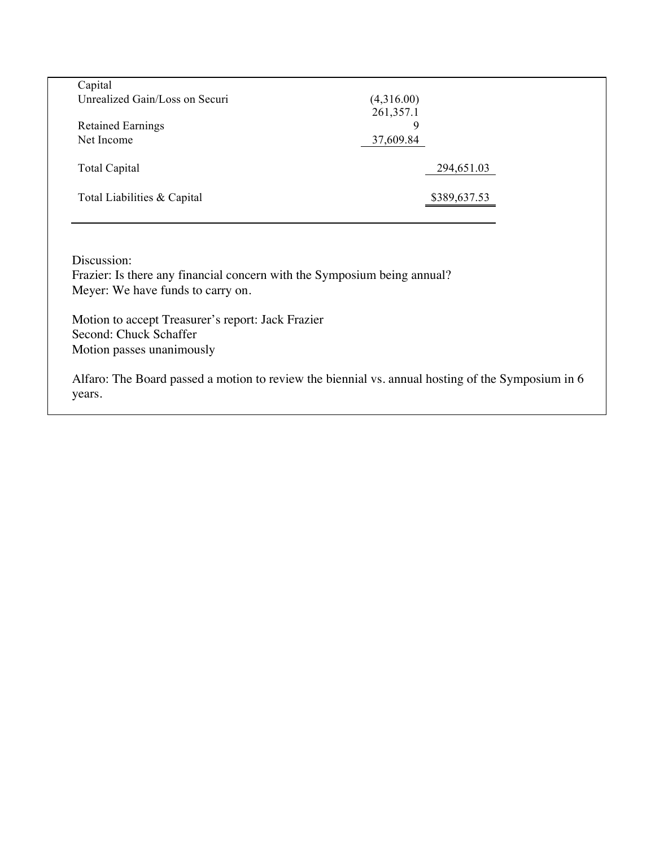| Capital                        |              |
|--------------------------------|--------------|
| Unrealized Gain/Loss on Securi | (4,316.00)   |
|                                | 261,357.1    |
| <b>Retained Earnings</b>       | Q            |
| Net Income                     | 37,609.84    |
|                                |              |
| <b>Total Capital</b>           | 294,651.03   |
|                                |              |
| Total Liabilities & Capital    | \$389,637.53 |
|                                |              |

Discussion:

Frazier: Is there any financial concern with the Symposium being annual? Meyer: We have funds to carry on.

Motion to accept Treasurer's report: Jack Frazier Second: Chuck Schaffer Motion passes unanimously

Alfaro: The Board passed a motion to review the biennial vs. annual hosting of the Symposium in 6 years.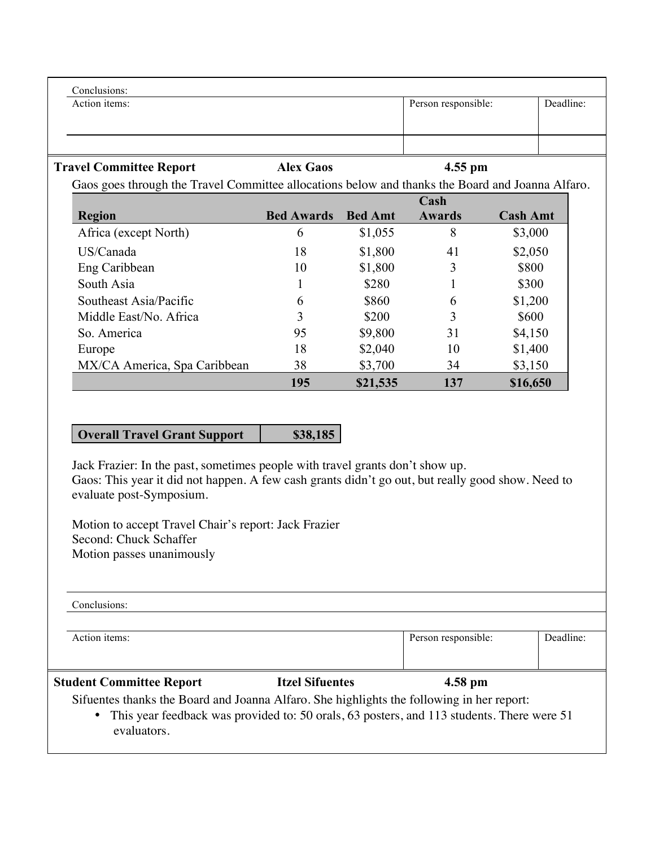| Conclusions:                                                                                     |                   |                |                     |                 |           |
|--------------------------------------------------------------------------------------------------|-------------------|----------------|---------------------|-----------------|-----------|
| Action items:                                                                                    |                   |                | Person responsible: |                 | Deadline: |
|                                                                                                  |                   |                |                     |                 |           |
|                                                                                                  |                   |                |                     |                 |           |
| <b>Travel Committee Report</b>                                                                   | <b>Alex Gaos</b>  |                | $4.55$ pm           |                 |           |
| Gaos goes through the Travel Committee allocations below and thanks the Board and Joanna Alfaro. |                   |                |                     |                 |           |
|                                                                                                  |                   |                | Cash                |                 |           |
| <b>Region</b>                                                                                    | <b>Bed Awards</b> | <b>Bed Amt</b> | Awards              | <b>Cash Amt</b> |           |
| Africa (except North)                                                                            | 6                 | \$1,055        | 8                   | \$3,000         |           |
| US/Canada                                                                                        | 18                | \$1,800        | 41                  | \$2,050         |           |
| Eng Caribbean                                                                                    | 10                | \$1,800        | 3                   | \$800           |           |
| South Asia                                                                                       |                   | \$280          |                     | \$300           |           |
| Southeast Asia/Pacific                                                                           | 6                 | \$860          | 6                   | \$1,200         |           |
| Middle East/No. Africa                                                                           | 3                 | \$200          | 3                   | \$600           |           |
| So. America                                                                                      | 95                | \$9,800        | 31                  | \$4,150         |           |
| Europe                                                                                           | 18                | \$2,040        | 10                  | \$1,400         |           |
| MX/CA America, Spa Caribbean                                                                     | 38                | \$3,700        | 34                  | \$3,150         |           |
|                                                                                                  | 195               | \$21,535       | 137                 | \$16,650        |           |

## **Overall Travel Grant Support** \$38,185

Jack Frazier: In the past, sometimes people with travel grants don't show up. Gaos: This year it did not happen. A few cash grants didn't go out, but really good show. Need to evaluate post-Symposium.

Motion to accept Travel Chair's report: Jack Frazier Second: Chuck Schaffer Motion passes unanimously

| Conclusions:                                                                                                                                                                                                       |                        |                     |           |  |
|--------------------------------------------------------------------------------------------------------------------------------------------------------------------------------------------------------------------|------------------------|---------------------|-----------|--|
| Action items:                                                                                                                                                                                                      |                        | Person responsible: | Deadline: |  |
| <b>Student Committee Report</b>                                                                                                                                                                                    | <b>Itzel Sifuentes</b> | $4.58$ pm           |           |  |
| Sifuentes thanks the Board and Joanna Alfaro. She highlights the following in her report:<br>This year feedback was provided to: 50 orals, 63 posters, and 113 students. There were 51<br>$\bullet$<br>evaluators. |                        |                     |           |  |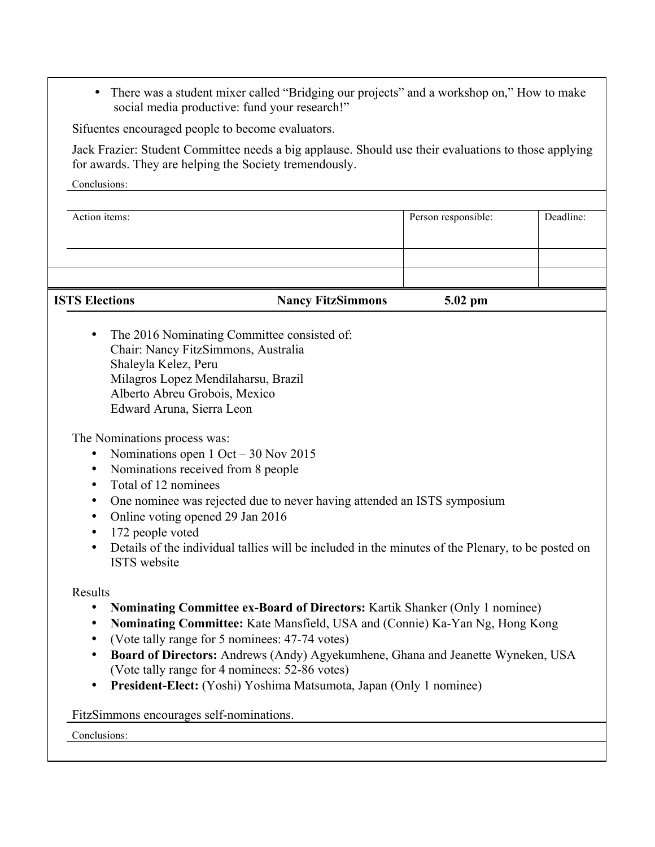• There was a student mixer called "Bridging our projects" and a workshop on," How to make social media productive: fund your research!"

Sifuentes encouraged people to become evaluators.

Jack Frazier: Student Committee needs a big applause. Should use their evaluations to those applying for awards. They are helping the Society tremendously.

Conclusions:

| <b>ISTS Elections</b> | <b>Nancy FitzSimmons</b> | $5.02$ pm           |           |
|-----------------------|--------------------------|---------------------|-----------|
|                       |                          |                     |           |
|                       |                          |                     |           |
| Action items:         |                          | Person responsible: | Deadline: |

• The 2016 Nominating Committee consisted of: Chair: Nancy FitzSimmons, Australia Shaleyla Kelez, Peru Milagros Lopez Mendilaharsu, Brazil Alberto Abreu Grobois, Mexico Edward Aruna, Sierra Leon

The Nominations process was:

- Nominations open 1 Oct 30 Nov 2015
- Nominations received from 8 people
- Total of 12 nominees
- One nominee was rejected due to never having attended an ISTS symposium
- Online voting opened 29 Jan 2016
- 172 people voted
- Details of the individual tallies will be included in the minutes of the Plenary, to be posted on ISTS website

Results

- **Nominating Committee ex-Board of Directors:** Kartik Shanker (Only 1 nominee)
- **Nominating Committee:** Kate Mansfield, USA and (Connie) Ka-Yan Ng, Hong Kong
- (Vote tally range for 5 nominees: 47-74 votes)
- **Board of Directors:** Andrews (Andy) Agyekumhene, Ghana and Jeanette Wyneken, USA (Vote tally range for 4 nominees: 52-86 votes)
- **President-Elect:** (Yoshi) Yoshima Matsumota, Japan (Only 1 nominee)

FitzSimmons encourages self-nominations.

Conclusions: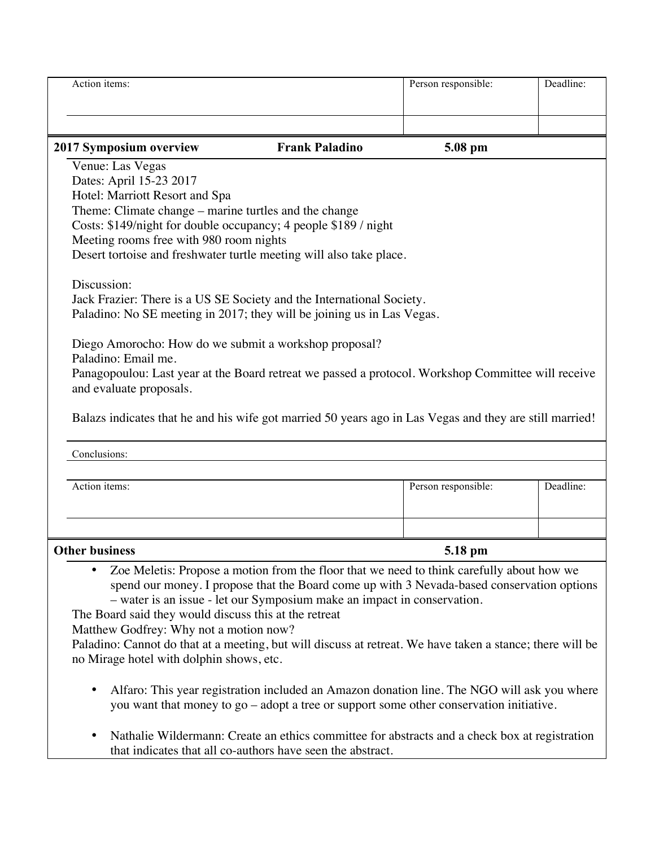| Action items:                                                                                                                                         |                                                                                               | Person responsible: | Deadline: |
|-------------------------------------------------------------------------------------------------------------------------------------------------------|-----------------------------------------------------------------------------------------------|---------------------|-----------|
|                                                                                                                                                       |                                                                                               |                     |           |
|                                                                                                                                                       |                                                                                               |                     |           |
| 2017 Symposium overview                                                                                                                               | <b>Frank Paladino</b>                                                                         | 5.08 pm             |           |
| Venue: Las Vegas                                                                                                                                      |                                                                                               |                     |           |
| Dates: April 15-23 2017                                                                                                                               |                                                                                               |                     |           |
| Hotel: Marriott Resort and Spa                                                                                                                        |                                                                                               |                     |           |
| Theme: Climate change – marine turtles and the change<br>Costs: \$149/night for double occupancy; 4 people \$189 / night                              |                                                                                               |                     |           |
| Meeting rooms free with 980 room nights                                                                                                               |                                                                                               |                     |           |
| Desert tortoise and freshwater turtle meeting will also take place.                                                                                   |                                                                                               |                     |           |
|                                                                                                                                                       |                                                                                               |                     |           |
| Discussion:                                                                                                                                           |                                                                                               |                     |           |
| Jack Frazier: There is a US SE Society and the International Society.                                                                                 |                                                                                               |                     |           |
| Paladino: No SE meeting in 2017; they will be joining us in Las Vegas.                                                                                |                                                                                               |                     |           |
|                                                                                                                                                       |                                                                                               |                     |           |
| Diego Amorocho: How do we submit a workshop proposal?<br>Paladino: Email me.                                                                          |                                                                                               |                     |           |
| Panagopoulou: Last year at the Board retreat we passed a protocol. Workshop Committee will receive                                                    |                                                                                               |                     |           |
| and evaluate proposals.                                                                                                                               |                                                                                               |                     |           |
|                                                                                                                                                       |                                                                                               |                     |           |
| Balazs indicates that he and his wife got married 50 years ago in Las Vegas and they are still married!                                               |                                                                                               |                     |           |
|                                                                                                                                                       |                                                                                               |                     |           |
| Conclusions:                                                                                                                                          |                                                                                               |                     |           |
|                                                                                                                                                       |                                                                                               |                     |           |
| Action items:                                                                                                                                         |                                                                                               | Person responsible: | Deadline: |
|                                                                                                                                                       |                                                                                               |                     |           |
|                                                                                                                                                       |                                                                                               |                     |           |
| <b>Other business</b>                                                                                                                                 |                                                                                               | 5.18 pm             |           |
|                                                                                                                                                       | Zoe Meletis: Propose a motion from the floor that we need to think carefully about how we     |                     |           |
|                                                                                                                                                       | spend our money. I propose that the Board come up with 3 Nevada-based conservation options    |                     |           |
|                                                                                                                                                       | - water is an issue - let our Symposium make an impact in conservation.                       |                     |           |
| The Board said they would discuss this at the retreat                                                                                                 |                                                                                               |                     |           |
| Matthew Godfrey: Why not a motion now?                                                                                                                |                                                                                               |                     |           |
| Paladino: Cannot do that at a meeting, but will discuss at retreat. We have taken a stance; there will be<br>no Mirage hotel with dolphin shows, etc. |                                                                                               |                     |           |
|                                                                                                                                                       |                                                                                               |                     |           |
| $\bullet$                                                                                                                                             | Alfaro: This year registration included an Amazon donation line. The NGO will ask you where   |                     |           |
|                                                                                                                                                       | you want that money to go - adopt a tree or support some other conservation initiative.       |                     |           |
|                                                                                                                                                       |                                                                                               |                     |           |
| ٠                                                                                                                                                     | Nathalie Wildermann: Create an ethics committee for abstracts and a check box at registration |                     |           |
|                                                                                                                                                       | that indicates that all co-authors have seen the abstract.                                    |                     |           |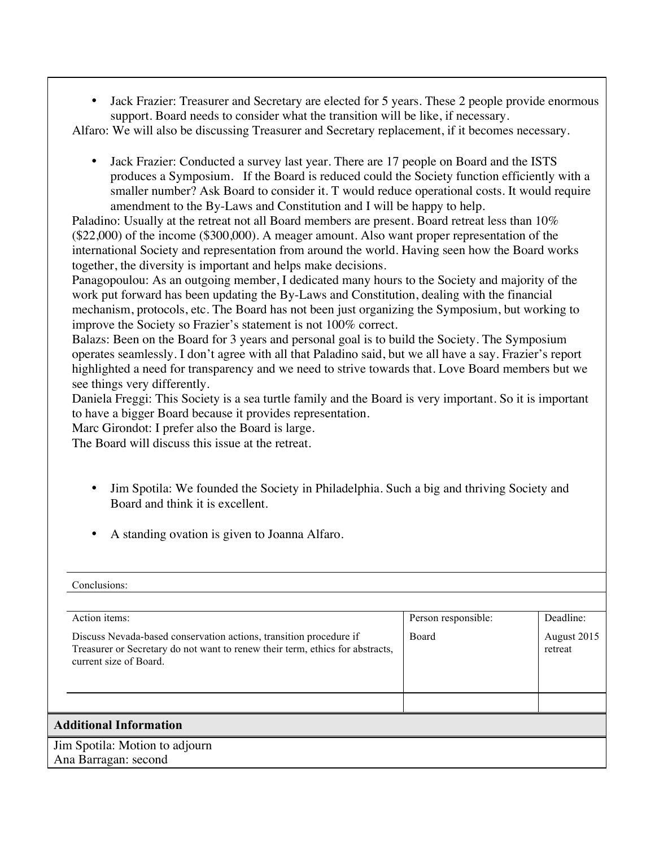• Jack Frazier: Treasurer and Secretary are elected for 5 years. These 2 people provide enormous support. Board needs to consider what the transition will be like, if necessary.

Alfaro: We will also be discussing Treasurer and Secretary replacement, if it becomes necessary.

• Jack Frazier: Conducted a survey last year. There are 17 people on Board and the ISTS produces a Symposium. If the Board is reduced could the Society function efficiently with a smaller number? Ask Board to consider it. T would reduce operational costs. It would require amendment to the By-Laws and Constitution and I will be happy to help.

Paladino: Usually at the retreat not all Board members are present. Board retreat less than 10% (\$22,000) of the income (\$300,000). A meager amount. Also want proper representation of the international Society and representation from around the world. Having seen how the Board works together, the diversity is important and helps make decisions.

Panagopoulou: As an outgoing member, I dedicated many hours to the Society and majority of the work put forward has been updating the By-Laws and Constitution, dealing with the financial mechanism, protocols, etc. The Board has not been just organizing the Symposium, but working to improve the Society so Frazier's statement is not 100% correct.

Balazs: Been on the Board for 3 years and personal goal is to build the Society. The Symposium operates seamlessly. I don't agree with all that Paladino said, but we all have a say. Frazier's report highlighted a need for transparency and we need to strive towards that. Love Board members but we see things very differently.

Daniela Freggi: This Society is a sea turtle family and the Board is very important. So it is important to have a bigger Board because it provides representation.

Marc Girondot: I prefer also the Board is large.

The Board will discuss this issue at the retreat.

- Jim Spotila: We founded the Society in Philadelphia. Such a big and thriving Society and Board and think it is excellent.
- A standing ovation is given to Joanna Alfaro.

| Conclusions:                                                                                                                                                                  |                     |                        |
|-------------------------------------------------------------------------------------------------------------------------------------------------------------------------------|---------------------|------------------------|
| Action items:                                                                                                                                                                 | Person responsible: | Deadline:              |
| Discuss Nevada-based conservation actions, transition procedure if<br>Treasurer or Secretary do not want to renew their term, ethics for abstracts,<br>current size of Board. | Board               | August 2015<br>retreat |
|                                                                                                                                                                               |                     |                        |
| <b>Additional Information</b>                                                                                                                                                 |                     |                        |
| Jim Spotila: Motion to adjourn                                                                                                                                                |                     |                        |
| Ana Barragan: second                                                                                                                                                          |                     |                        |
|                                                                                                                                                                               |                     |                        |